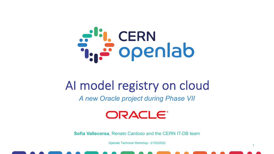

### AI model registry on cloud

*A new Oracle project during Phase VII*



**Sofia Vallecorsa**, Renato Cardoso and the CERN IT-DB team

Openlab Technical Workshop - 21/03/2022

1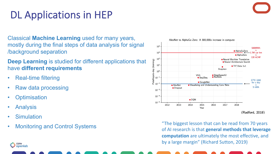### DL Applications in HEP

Classical **Machine Learning** used for many years, mostly during the final steps of data analysis for signal /background separation

**Deep Learning** is studied for different applications that have **different requirements**

- Real-time filtering
- Raw data processing
- **Optimisation**
- **Analysis**
- **Simulation**
- **Monitoring and Control Systems**



AlexNet to AlphaGo Zero: A 300,000x increase in compute

of AI research is that **general methods that leverage computation** are ultimately the most effective, and by a large margin" (Richard Sutton, 2019)

CERN البي openlab



Petaflops/s-day (training)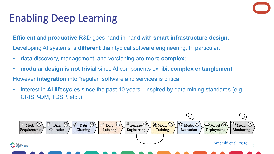### Enabling Deep Learning

**Efficient and productive R&D goes hand-in-hand with smart in** Developing AI systems is **different** than typical software engineer

- **data** discovery, management, and versioning are **more complex**;
- **modular design is not trivial** since AI components exhibit completed

However *integration* into "regular" software and services is critic

Interest in **AI lifecycles** since the past 10 years - inspired by CRISP-DM, TDSP, etc..)

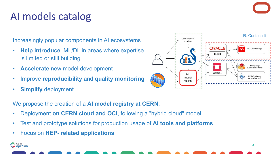### AI models catalog

Increasingly popular components in AI ecosystems

- **Help introduce** ML/DL in areas where expertise is limited or still building
- **Accelerate** new model development
- Improve **reproducibility** and **quality monitoring**
- **Simplify** deployment



We propose the creation of a **AI model registry at CERN**:

- Deployment **on CERN cloud and OCI**, following a "hybrid cloud" model
- Test and prototype solutions for production usage of **AI tools and platforms**
- Focus on **HEP- related applications**

t<sup>is</sup>i, cern<br>I<sub>si</sub>, openlab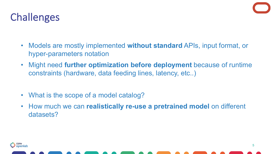

### Challenges

- Models are mostly implemented **without standard** APIs, input format, or hyper-parameters notation
- Might need **further optimization before deployment** because of runtime constraints (hardware, data feeding lines, latency, etc..)
- What is the scope of a model catalog?
- How much we can **realistically re-use a pretrained model** on different datasets?

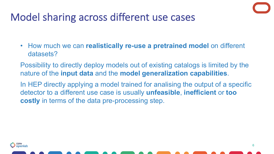## Model sharing across different use cases

- How much we can **realistically re-use a pretrained model** on different datasets?
- Possibility to directly deploy models out of existing catalogs is limited by the nature of the **input data** and the **model generalization capabilities**.
- In HEP directly applying a model trained for analising the output of a specific detector to a different use case is usually **unfeasible**, **inefficient** or **too costly** in terms of the data pre-processing step.



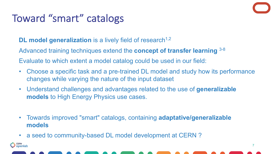### Toward "smart" catalogs

<mark>i.</mark> CERN<br>**: openlab** 

### **DL model generalization** is a lively field of research<sup>1,2</sup>

Advanced training techniques extend the **concept of transfer learning** 3-8

Evaluate to which extent a model catalog could be used in our field:

- Choose a specific task and a pre-trained DL model and study how its performance changes while varying the nature of the input dataset
- Understand challenges and advantages related to the use of **generalizable models** to High Energy Physics use cases.
- Towards improved "smart" catalogs, containing **adaptative/generalizable models**
- a seed to community-based DL model development at CERN ?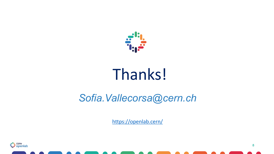

# Thanks!

### Sofia.Vallecorsa@ce.

https://openlab.cern/